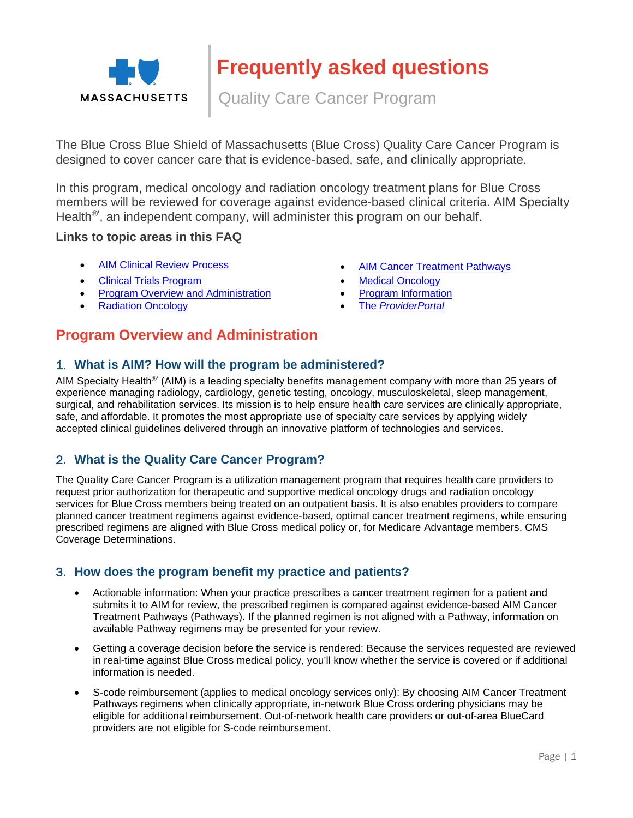

Quality Care Cancer Program

The Blue Cross Blue Shield of Massachusetts (Blue Cross) Quality Care Cancer Program is designed to cover cancer care that is evidence-based, safe, and clinically appropriate.

In this program, medical oncology and radiation oncology treatment plans for Blue Cross members will be reviewed for coverage against evidence-based clinical criteria. AIM Specialty Health<sup>®</sup>, an independent company, will administer this program on our behalf.

#### **Links to topic areas in this FAQ**

- 
- [Clinical Trials Program](#page-7-0) **[Medical Oncology](#page-5-0) Medical Oncology**
- [Program Overview and Administration](#page-0-0) **Conserversity** [Program Information](#page-1-0)
- 
- [AIM Clinical Review Process](#page-3-0) **[AIM Cancer Treatment Pathways](#page-9-0)** 
	-
	-
	- [Radiation Oncology](#page-8-0) **The [ProviderPortal](#page-10-0)**

# <span id="page-0-0"></span>**Program Overview and Administration**

### 1. **What is AIM? How will the program be administered?**

AIM Specialty Health®' (AIM) is a leading specialty benefits management company with more than 25 years of experience managing radiology, cardiology, genetic testing, oncology, musculoskeletal, sleep management, surgical, and rehabilitation services. Its mission is to help ensure health care services are clinically appropriate, safe, and affordable. It promotes the most appropriate use of specialty care services by applying widely accepted clinical guidelines delivered through an innovative platform of technologies and services.

### 2. **What is the Quality Care Cancer Program?**

The Quality Care Cancer Program is a utilization management program that requires health care providers to request prior authorization for therapeutic and supportive medical oncology drugs and radiation oncology services for Blue Cross members being treated on an outpatient basis. It is also enables providers to compare planned cancer treatment regimens against evidence-based, optimal cancer treatment regimens, while ensuring prescribed regimens are aligned with Blue Cross medical policy or, for Medicare Advantage members, CMS Coverage Determinations.

### 3. **How does the program benefit my practice and patients?**

- Actionable information: When your practice prescribes a cancer treatment regimen for a patient and submits it to AIM for review, the prescribed regimen is compared against evidence-based AIM Cancer Treatment Pathways (Pathways). If the planned regimen is not aligned with a Pathway, information on available Pathway regimens may be presented for your review.
- Getting a coverage decision before the service is rendered: Because the services requested are reviewed in real-time against Blue Cross medical policy, you'll know whether the service is covered or if additional information is needed.
- S-code reimbursement (applies to medical oncology services only): By choosing AIM Cancer Treatment Pathways regimens when clinically appropriate, in-network Blue Cross ordering physicians may be eligible for additional reimbursement. Out-of-network health care providers or out-of-area BlueCard providers are not eligible for S-code reimbursement.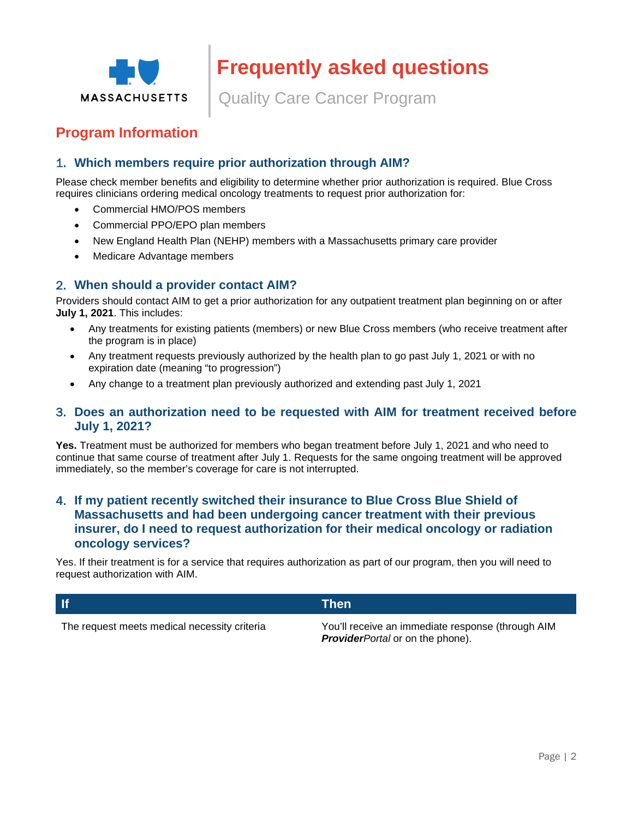

Quality Care Cancer Program

# <span id="page-1-0"></span>**Program Information**

### 1. **Which members require prior authorization through AIM?**

Please check member benefits and eligibility to determine whether prior authorization is required. Blue Cross requires clinicians ordering medical oncology treatments to request prior authorization for:

- Commercial HMO/POS members
- Commercial PPO/EPO plan members
- New England Health Plan (NEHP) members with a Massachusetts primary care provider
- Medicare Advantage members

### 2. **When should a provider contact AIM?**

Providers should contact AIM to get a prior authorization for any outpatient treatment plan beginning on or after **July 1, 2021**. This includes:

- Any treatments for existing patients (members) or new Blue Cross members (who receive treatment after the program is in place)
- Any treatment requests previously authorized by the health plan to go past July 1, 2021 or with no expiration date (meaning "to progression")
- Any change to a treatment plan previously authorized and extending past July 1, 2021

#### 3. **Does an authorization need to be requested with AIM for treatment received before July 1, 2021?**

**Yes.** Treatment must be authorized for members who began treatment before July 1, 2021 and who need to continue that same course of treatment after July 1. Requests for the same ongoing treatment will be approved immediately, so the member's coverage for care is not interrupted.

### 4. **If my patient recently switched their insurance to Blue Cross Blue Shield of Massachusetts and had been undergoing cancer treatment with their previous insurer, do I need to request authorization for their medical oncology or radiation oncology services?**

Yes. If their treatment is for a service that requires authorization as part of our program, then you will need to request authorization with AIM.

|                                              | Then                                              |
|----------------------------------------------|---------------------------------------------------|
| The request meets medical necessity criteria | You'll receive an immediate response (through AIM |

*ProviderPortal* or on the phone).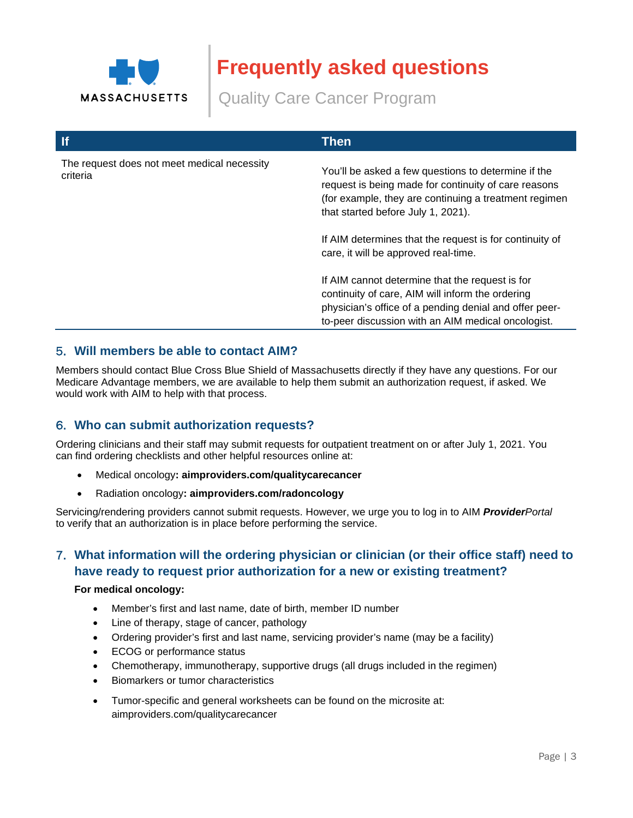

Quality Care Cancer Program

| $\mathbf{H}$                                            | <b>Then</b>                                                                                                                                                                                                                                                                                                                                                                                                                                                                    |
|---------------------------------------------------------|--------------------------------------------------------------------------------------------------------------------------------------------------------------------------------------------------------------------------------------------------------------------------------------------------------------------------------------------------------------------------------------------------------------------------------------------------------------------------------|
| The request does not meet medical necessity<br>criteria | You'll be asked a few questions to determine if the<br>request is being made for continuity of care reasons<br>(for example, they are continuing a treatment regimen<br>that started before July 1, 2021).<br>If AIM determines that the request is for continuity of<br>care, it will be approved real-time.<br>If AIM cannot determine that the request is for<br>continuity of care, AIM will inform the ordering<br>physician's office of a pending denial and offer peer- |
|                                                         | to-peer discussion with an AIM medical oncologist.                                                                                                                                                                                                                                                                                                                                                                                                                             |

### 5. **Will members be able to contact AIM?**

Members should contact Blue Cross Blue Shield of Massachusetts directly if they have any questions. For our Medicare Advantage members, we are available to help them submit an authorization request, if asked. We would work with AIM to help with that process.

### 6. **Who can submit authorization requests?**

Ordering clinicians and their staff may submit requests for outpatient treatment on or after July 1, 2021. You can find ordering checklists and other helpful resources online at:

- Medical oncology**: aimproviders.com/qualitycarecancer**
- Radiation oncology**: aimproviders.com/radoncology**

Servicing/rendering providers cannot submit requests. However, we urge you to log in to AIM *ProviderPortal*  to verify that an authorization is in place before performing the service.

## 7. **What information will the ordering physician or clinician (or their office staff) need to have ready to request prior authorization for a new or existing treatment?**

#### **For medical oncology:**

- Member's first and last name, date of birth, member ID number
- Line of therapy, stage of cancer, pathology
- Ordering provider's first and last name, servicing provider's name (may be a facility)
- ECOG or performance status
- Chemotherapy, immunotherapy, supportive drugs (all drugs included in the regimen)
- **•** Biomarkers or tumor characteristics
- Tumor-specific and general worksheets can be found on the microsite at: aimproviders.com/qualitycarecancer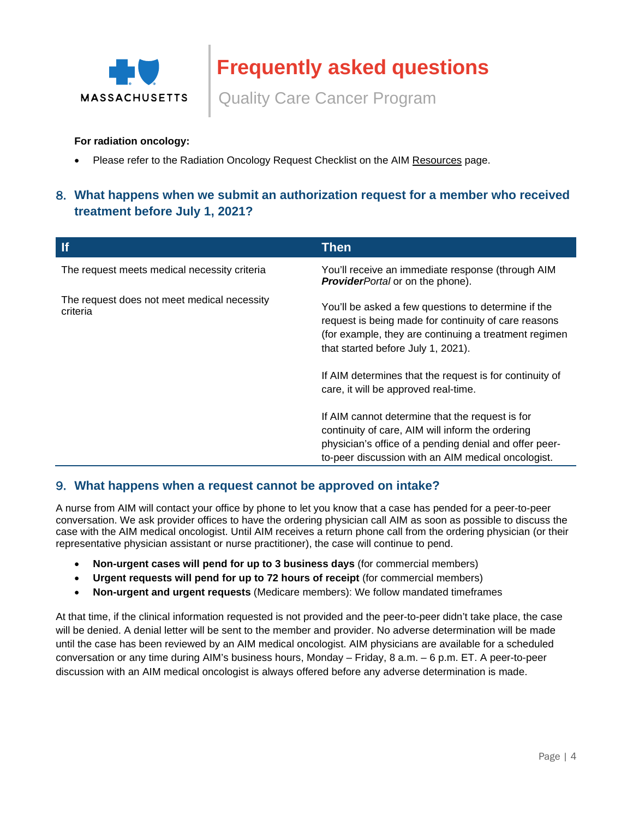

Quality Care Cancer Program

#### **For radiation oncology:**

Please refer to the Radiation Oncology Request Checklist on the AIM [Resources](https://aimproviders.com/radoncology/resources/) page.

## 8. **What happens when we submit an authorization request for a member who received treatment before July 1, 2021?**

| <b>If</b>                                               | <b>Then</b>                                                                                                                                                                                                                                                                                                   |
|---------------------------------------------------------|---------------------------------------------------------------------------------------------------------------------------------------------------------------------------------------------------------------------------------------------------------------------------------------------------------------|
| The request meets medical necessity criteria            | You'll receive an immediate response (through AIM<br><b>ProviderPortal or on the phone).</b>                                                                                                                                                                                                                  |
| The request does not meet medical necessity<br>criteria | You'll be asked a few questions to determine if the<br>request is being made for continuity of care reasons<br>(for example, they are continuing a treatment regimen<br>that started before July 1, 2021).<br>If AIM determines that the request is for continuity of<br>care, it will be approved real-time. |
|                                                         | If AIM cannot determine that the request is for<br>continuity of care, AIM will inform the ordering<br>physician's office of a pending denial and offer peer-<br>to-peer discussion with an AIM medical oncologist.                                                                                           |

#### 9. **What happens when a request cannot be approved on intake?**

A nurse from AIM will contact your office by phone to let you know that a case has pended for a peer-to-peer conversation. We ask provider offices to have the ordering physician call AIM as soon as possible to discuss the case with the AIM medical oncologist. Until AIM receives a return phone call from the ordering physician (or their representative physician assistant or nurse practitioner), the case will continue to pend.

- **Non-urgent cases will pend for up to 3 business days** (for commercial members)
- **Urgent requests will pend for up to 72 hours of receipt** (for commercial members)
- **Non-urgent and urgent requests** (Medicare members): We follow mandated timeframes

<span id="page-3-0"></span>At that time, if the clinical information requested is not provided and the peer-to-peer didn't take place, the case will be denied. A denial letter will be sent to the member and provider. No adverse determination will be made until the case has been reviewed by an AIM medical oncologist. AIM physicians are available for a scheduled conversation or any time during AIM's business hours, Monday – Friday, 8 a.m. – 6 p.m. ET. A peer-to-peer discussion with an AIM medical oncologist is always offered before any adverse determination is made.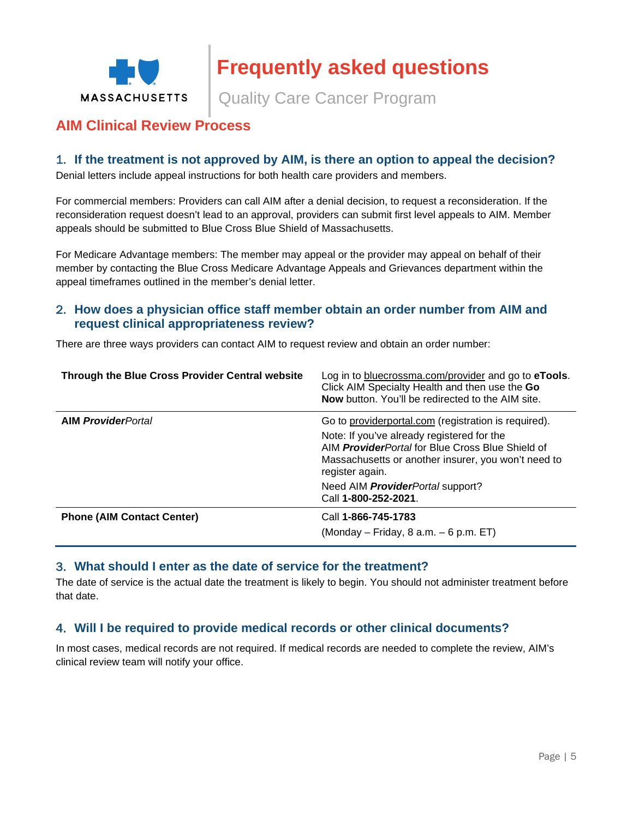

Quality Care Cancer Program

# **AIM Clinical Review Process**

### 1. **If the treatment is not approved by AIM, is there an option to appeal the decision?**

Denial letters include appeal instructions for both health care providers and members.

For commercial members: Providers can call AIM after a denial decision, to request a reconsideration. If the reconsideration request doesn't lead to an approval, providers can submit first level appeals to AIM. Member appeals should be submitted to Blue Cross Blue Shield of Massachusetts.

For Medicare Advantage members: The member may appeal or the provider may appeal on behalf of their member by contacting the Blue Cross Medicare Advantage Appeals and Grievances department within the appeal timeframes outlined in the member's denial letter.

### 2. **How does a physician office staff member obtain an order number from AIM and request clinical appropriateness review?**

There are three ways providers can contact AIM to request review and obtain an order number:

| Through the Blue Cross Provider Central website | Log in to bluecrossma.com/provider and go to eTools.<br>Click AIM Specialty Health and then use the Go<br><b>Now</b> button. You'll be redirected to the AIM site.               |
|-------------------------------------------------|----------------------------------------------------------------------------------------------------------------------------------------------------------------------------------|
| <b>AIM ProviderPortal</b>                       | Go to providerportal.com (registration is required).                                                                                                                             |
|                                                 | Note: If you've already registered for the<br>AIM <b>Provider</b> Portal for Blue Cross Blue Shield of<br>Massachusetts or another insurer, you won't need to<br>register again. |
|                                                 | Need AIM <b>Provider</b> Portal support?<br>Call 1-800-252-2021.                                                                                                                 |
| <b>Phone (AIM Contact Center)</b>               | Call 1-866-745-1783                                                                                                                                                              |
|                                                 | $(Monday - Friday, 8 a.m. - 6 p.m. ET)$                                                                                                                                          |

#### 3. **What should I enter as the date of service for the treatment?**

The date of service is the actual date the treatment is likely to begin. You should not administer treatment before that date.

### 4. **Will I be required to provide medical records or other clinical documents?**

In most cases, medical records are not required. If medical records are needed to complete the review, AIM's clinical review team will notify your office.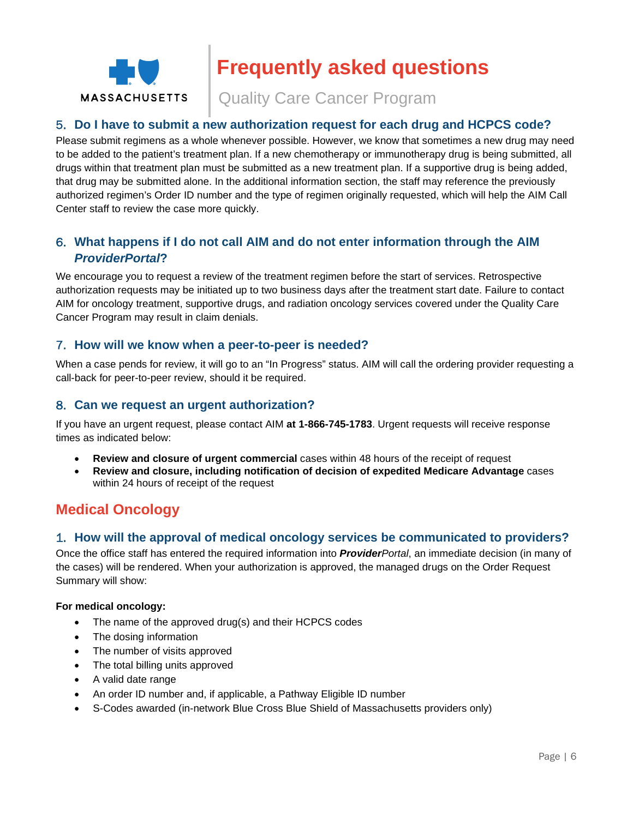

Quality Care Cancer Program

### 5. **Do I have to submit a new authorization request for each drug and HCPCS code?**

Please submit regimens as a whole whenever possible. However, we know that sometimes a new drug may need to be added to the patient's treatment plan. If a new chemotherapy or immunotherapy drug is being submitted, all drugs within that treatment plan must be submitted as a new treatment plan. If a supportive drug is being added, that drug may be submitted alone. In the additional information section, the staff may reference the previously authorized regimen's Order ID number and the type of regimen originally requested, which will help the AIM Call Center staff to review the case more quickly.

## 6. **What happens if I do not call AIM and do not enter information through the AIM**  *ProviderPortal***?**

We encourage you to request a review of the treatment regimen before the start of services. Retrospective authorization requests may be initiated up to two business days after the treatment start date. Failure to contact AIM for oncology treatment, supportive drugs, and radiation oncology services covered under the Quality Care Cancer Program may result in claim denials.

### 7. **How will we know when a peer-to-peer is needed?**

When a case pends for review, it will go to an "In Progress" status. AIM will call the ordering provider requesting a call-back for peer-to-peer review, should it be required.

### 8. **Can we request an urgent authorization?**

If you have an urgent request, please contact AIM **at 1-866-745-1783**. Urgent requests will receive response times as indicated below:

- **Review and closure of urgent commercial** cases within 48 hours of the receipt of request
- **Review and closure, including notification of decision of expedited Medicare Advantage** cases within 24 hours of receipt of the request

# <span id="page-5-0"></span>**Medical Oncology**

### 1. **How will the approval of medical oncology services be communicated to providers?**

Once the office staff has entered the required information into *ProviderPortal*, an immediate decision (in many of the cases) will be rendered. When your authorization is approved, the managed drugs on the Order Request Summary will show:

#### **For medical oncology:**

- The name of the approved drug(s) and their HCPCS codes
- The dosing information
- The number of visits approved
- The total billing units approved
- A valid date range
- An order ID number and, if applicable, a Pathway Eligible ID number
- S-Codes awarded (in-network Blue Cross Blue Shield of Massachusetts providers only)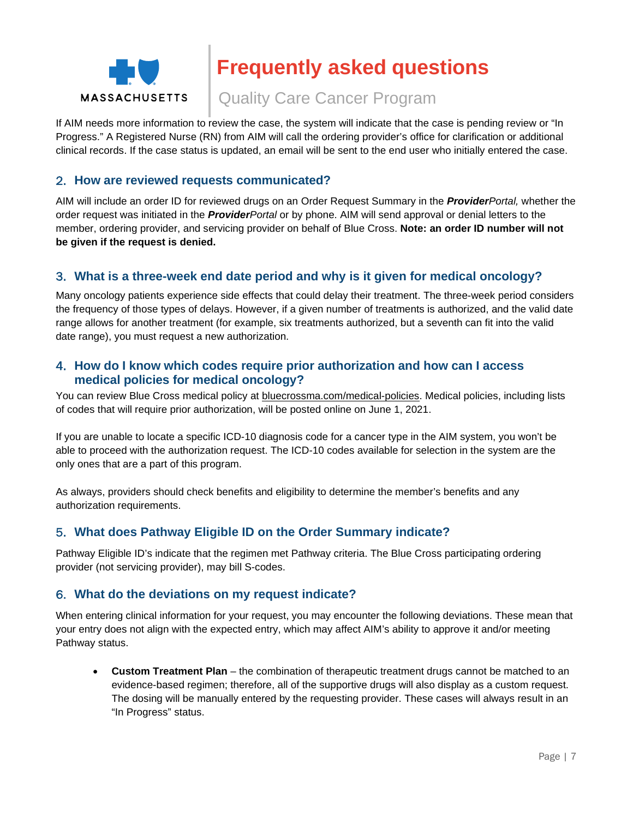

Quality Care Cancer Program

If AIM needs more information to review the case, the system will indicate that the case is pending review or "In Progress." A Registered Nurse (RN) from AIM will call the ordering provider's office for clarification or additional clinical records. If the case status is updated, an email will be sent to the end user who initially entered the case.

### 2. **How are reviewed requests communicated?**

AIM will include an order ID for reviewed drugs on an Order Request Summary in the *ProviderPortal,* whether the order request was initiated in the *ProviderPortal* or by phone. AIM will send approval or denial letters to the member, ordering provider, and servicing provider on behalf of Blue Cross. **Note: an order ID number will not be given if the request is denied.** 

### 3. **What is a three-week end date period and why is it given for medical oncology?**

Many oncology patients experience side effects that could delay their treatment. The three-week period considers the frequency of those types of delays. However, if a given number of treatments is authorized, and the valid date range allows for another treatment (for example, six treatments authorized, but a seventh can fit into the valid date range), you must request a new authorization.

### 4. **How do I know which codes require prior authorization and how can I access medical policies for medical oncology?**

You can review Blue Cross medical policy at [bluecrossma.com/medical-policies.](http://www.bluecrossma.org/medical-policies) Medical policies, including lists of codes that will require prior authorization, will be posted online on June 1, 2021.

If you are unable to locate a specific ICD-10 diagnosis code for a cancer type in the AIM system, you won't be able to proceed with the authorization request. The ICD-10 codes available for selection in the system are the only ones that are a part of this program.

As always, providers should check benefits and eligibility to determine the member's benefits and any authorization requirements.

### 5. **What does Pathway Eligible ID on the Order Summary indicate?**

Pathway Eligible ID's indicate that the regimen met Pathway criteria. The Blue Cross participating ordering provider (not servicing provider), may bill S-codes.

#### 6. **What do the deviations on my request indicate?**

When entering clinical information for your request, you may encounter the following deviations. These mean that your entry does not align with the expected entry, which may affect AIM's ability to approve it and/or meeting Pathway status.

 **Custom Treatment Plan** – the combination of therapeutic treatment drugs cannot be matched to an evidence-based regimen; therefore, all of the supportive drugs will also display as a custom request. The dosing will be manually entered by the requesting provider. These cases will always result in an "In Progress" status.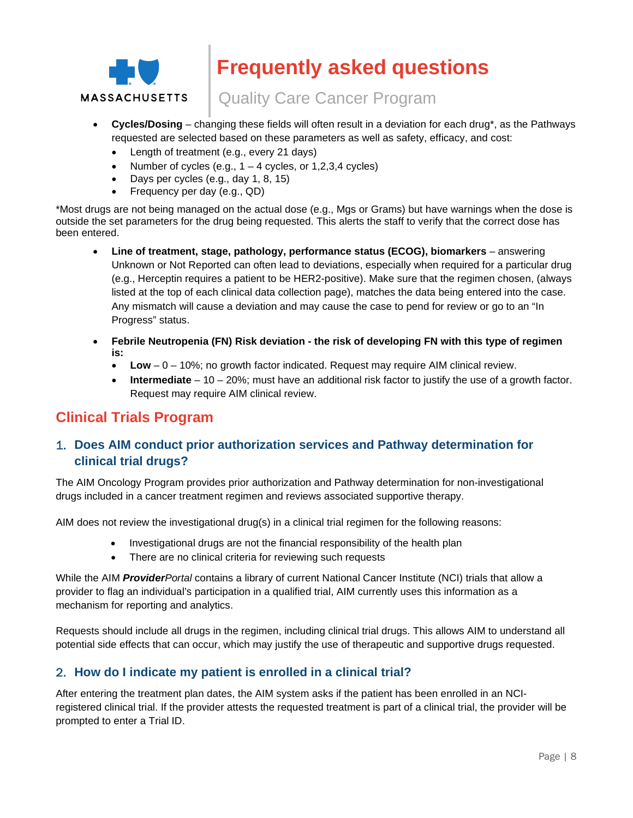

# Quality Care Cancer Program

- **Cycles/Dosing** changing these fields will often result in a deviation for each drug\*, as the Pathways requested are selected based on these parameters as well as safety, efficacy, and cost:
	- Length of treatment (e.g., every 21 days)
	- Number of cycles (e.g.,  $1 4$  cycles, or 1,2,3,4 cycles)
	- Days per cycles (e.g., day 1, 8, 15)
	- Frequency per day (e.g., QD)

\*Most drugs are not being managed on the actual dose (e.g., Mgs or Grams) but have warnings when the dose is outside the set parameters for the drug being requested. This alerts the staff to verify that the correct dose has been entered.

- **Line of treatment, stage, pathology, performance status (ECOG), biomarkers** answering Unknown or Not Reported can often lead to deviations, especially when required for a particular drug (e.g., Herceptin requires a patient to be HER2-positive). Make sure that the regimen chosen, (always listed at the top of each clinical data collection page), matches the data being entered into the case. Any mismatch will cause a deviation and may cause the case to pend for review or go to an "In Progress" status.
- **Febrile Neutropenia (FN) Risk deviation the risk of developing FN with this type of regimen is:** 
	- **Low** 0 10%; no growth factor indicated. Request may require AIM clinical review.
	- **Intermediate** 10 20%; must have an additional risk factor to justify the use of a growth factor. Request may require AIM clinical review.

# <span id="page-7-0"></span>**Clinical Trials Program**

## 1. **Does AIM conduct prior authorization services and Pathway determination for clinical trial drugs?**

The AIM Oncology Program provides prior authorization and Pathway determination for non-investigational drugs included in a cancer treatment regimen and reviews associated supportive therapy.

AIM does not review the investigational drug(s) in a clinical trial regimen for the following reasons:

- Investigational drugs are not the financial responsibility of the health plan
- There are no clinical criteria for reviewing such requests

While the AIM *ProviderPortal* contains a library of current National Cancer Institute (NCI) trials that allow a provider to flag an individual's participation in a qualified trial, AIM currently uses this information as a mechanism for reporting and analytics.

Requests should include all drugs in the regimen, including clinical trial drugs. This allows AIM to understand all potential side effects that can occur, which may justify the use of therapeutic and supportive drugs requested.

### 2. **How do I indicate my patient is enrolled in a clinical trial?**

After entering the treatment plan dates, the AIM system asks if the patient has been enrolled in an NCIregistered clinical trial. If the provider attests the requested treatment is part of a clinical trial, the provider will be prompted to enter a Trial ID.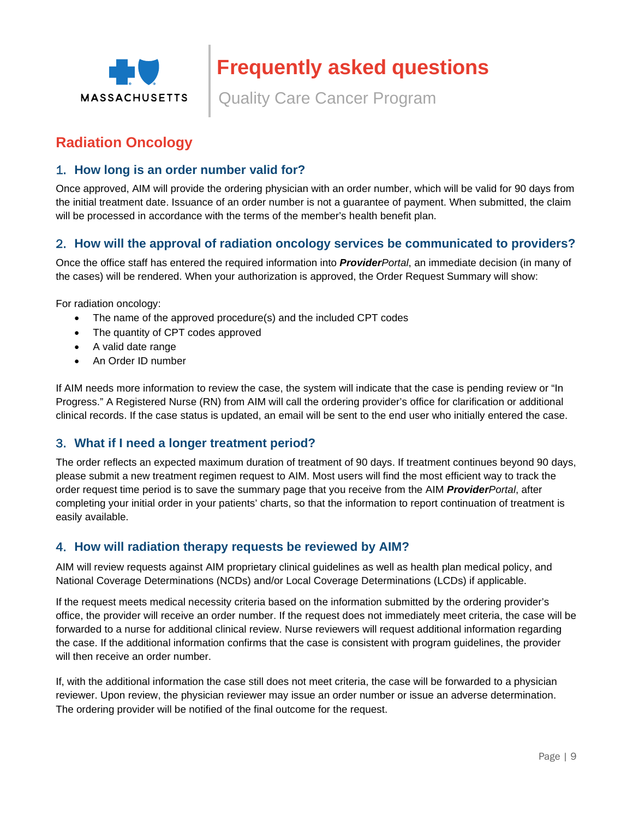

Quality Care Cancer Program

# <span id="page-8-0"></span>**Radiation Oncology**

## 1. **How long is an order number valid for?**

Once approved, AIM will provide the ordering physician with an order number, which will be valid for 90 days from the initial treatment date. Issuance of an order number is not a guarantee of payment. When submitted, the claim will be processed in accordance with the terms of the member's health benefit plan.

## 2. **How will the approval of radiation oncology services be communicated to providers?**

Once the office staff has entered the required information into *ProviderPortal*, an immediate decision (in many of the cases) will be rendered. When your authorization is approved, the Order Request Summary will show:

For radiation oncology:

- The name of the approved procedure(s) and the included CPT codes
- The quantity of CPT codes approved
- A valid date range
- An Order ID number

If AIM needs more information to review the case, the system will indicate that the case is pending review or "In Progress." A Registered Nurse (RN) from AIM will call the ordering provider's office for clarification or additional clinical records. If the case status is updated, an email will be sent to the end user who initially entered the case.

#### 3. **What if I need a longer treatment period?**

The order reflects an expected maximum duration of treatment of 90 days. If treatment continues beyond 90 days, please submit a new treatment regimen request to AIM. Most users will find the most efficient way to track the order request time period is to save the summary page that you receive from the AIM *ProviderPortal*, after completing your initial order in your patients' charts, so that the information to report continuation of treatment is easily available.

#### 4. **How will radiation therapy requests be reviewed by AIM?**

AIM will review requests against AIM proprietary clinical guidelines as well as health plan medical policy, and National Coverage Determinations (NCDs) and/or Local Coverage Determinations (LCDs) if applicable.

If the request meets medical necessity criteria based on the information submitted by the ordering provider's office, the provider will receive an order number. If the request does not immediately meet criteria, the case will be forwarded to a nurse for additional clinical review. Nurse reviewers will request additional information regarding the case. If the additional information confirms that the case is consistent with program guidelines, the provider will then receive an order number.

If, with the additional information the case still does not meet criteria, the case will be forwarded to a physician reviewer. Upon review, the physician reviewer may issue an order number or issue an adverse determination. The ordering provider will be notified of the final outcome for the request.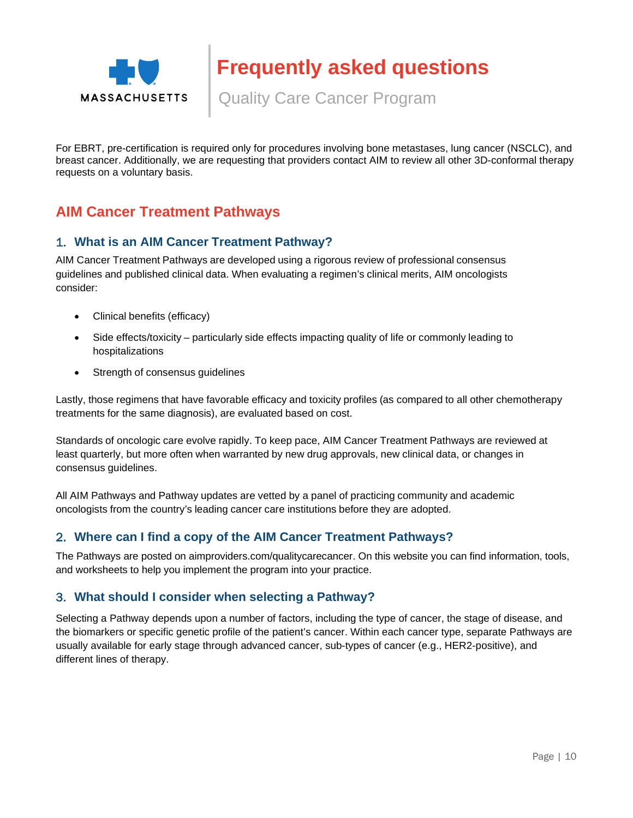

Quality Care Cancer Program

For EBRT, pre-certification is required only for procedures involving bone metastases, lung cancer (NSCLC), and breast cancer. Additionally, we are requesting that providers contact AIM to review all other 3D-conformal therapy requests on a voluntary basis.

# <span id="page-9-0"></span>**AIM Cancer Treatment Pathways**

### 1. **What is an AIM Cancer Treatment Pathway?**

AIM Cancer Treatment Pathways are developed using a rigorous review of professional consensus guidelines and published clinical data. When evaluating a regimen's clinical merits, AIM oncologists consider:

- Clinical benefits (efficacy)
- Side effects/toxicity particularly side effects impacting quality of life or commonly leading to hospitalizations
- Strength of consensus guidelines

Lastly, those regimens that have favorable efficacy and toxicity profiles (as compared to all other chemotherapy treatments for the same diagnosis), are evaluated based on cost.

Standards of oncologic care evolve rapidly. To keep pace, AIM Cancer Treatment Pathways are reviewed at least quarterly, but more often when warranted by new drug approvals, new clinical data, or changes in consensus guidelines.

All AIM Pathways and Pathway updates are vetted by a panel of practicing community and academic oncologists from the country's leading cancer care institutions before they are adopted.

## 2. **Where can I find a copy of the AIM Cancer Treatment Pathways?**

The Pathways are posted on aimproviders.com/qualitycarecancer. On this website you can find information, tools, and worksheets to help you implement the program into your practice.

### 3. **What should I consider when selecting a Pathway?**

Selecting a Pathway depends upon a number of factors, including the type of cancer, the stage of disease, and the biomarkers or specific genetic profile of the patient's cancer. Within each cancer type, separate Pathways are usually available for early stage through advanced cancer, sub-types of cancer (e.g., HER2-positive), and different lines of therapy.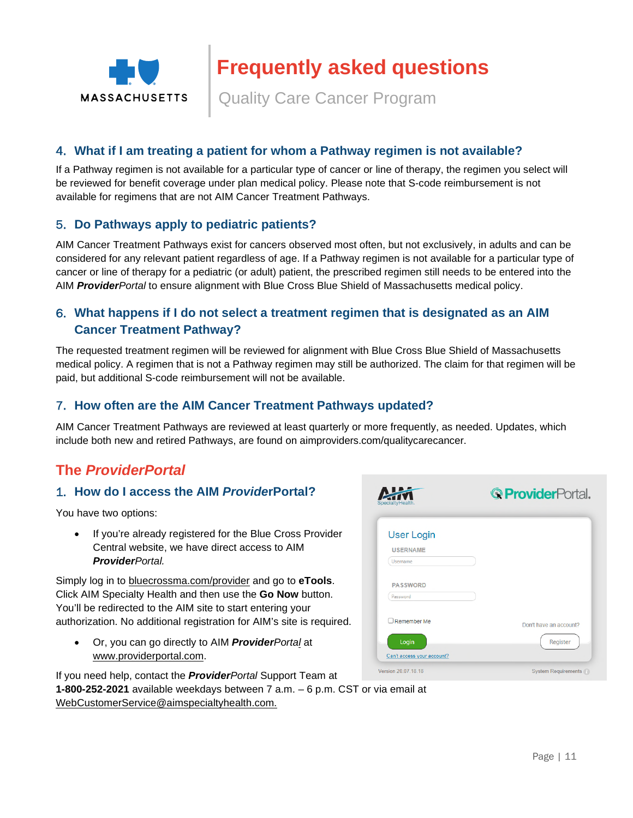![](_page_10_Picture_0.jpeg)

Quality Care Cancer Program

### 4. **What if I am treating a patient for whom a Pathway regimen is not available?**

If a Pathway regimen is not available for a particular type of cancer or line of therapy, the regimen you select will be reviewed for benefit coverage under plan medical policy. Please note that S-code reimbursement is not available for regimens that are not AIM Cancer Treatment Pathways.

### 5. **Do Pathways apply to pediatric patients?**

AIM Cancer Treatment Pathways exist for cancers observed most often, but not exclusively, in adults and can be considered for any relevant patient regardless of age. If a Pathway regimen is not available for a particular type of cancer or line of therapy for a pediatric (or adult) patient, the prescribed regimen still needs to be entered into the AIM *ProviderPortal* to ensure alignment with Blue Cross Blue Shield of Massachusetts medical policy.

## 6. **What happens if I do not select a treatment regimen that is designated as an AIM Cancer Treatment Pathway?**

The requested treatment regimen will be reviewed for alignment with Blue Cross Blue Shield of Massachusetts medical policy. A regimen that is not a Pathway regimen may still be authorized. The claim for that regimen will be paid, but additional S-code reimbursement will not be available.

#### 7. **How often are the AIM Cancer Treatment Pathways updated?**

AIM Cancer Treatment Pathways are reviewed at least quarterly or more frequently, as needed. Updates, which include both new and retired Pathways, are found on aimproviders.com/qualitycarecancer.

 $\blacksquare$ 

# <span id="page-10-0"></span>**The** *ProviderPortal*

### 1. **How do I access the AIM** *Provide***rPortal?**

You have two options:

 If you're already registered for the Blue Cross Provider Central website, we have direct access to AIM *ProviderPortal.* 

Simply log in to [bluecrossma.com/provider](http://www.bluecrossma.com/provider) and go to **eTools**. Click AIM Specialty Health and then use the **Go Now** button. You'll be redirected to the AIM site to start entering your authorization. No additional registration for AIM's site is required.

 Or, you can go directly to AIM *ProviderPortal* at [www.providerportal.com](http://www.providerportal.com/).

| SpecialtyHealth.           | <b>GProvider</b> Portal. |
|----------------------------|--------------------------|
| <b>User Login</b>          |                          |
| <b>USERNAME</b>            |                          |
| Usemame                    |                          |
| <b>PASSWORD</b>            |                          |
| Password                   |                          |
| Remember Me                | Don't have an account?   |
| Login                      | Register                 |
| Can't access your account? |                          |
| Version 20.07.18.18        | System Requirements      |

If you need help, contact the *ProviderPortal* Support Team at

**1-800-252-2021** available weekdays between 7 a.m. – 6 p.m. CST or via email at [WebCustomerService@aimspecialtyhealth.com](mailto:WebCustomerService@aimspecialtyhealth.com).

 $\cdot$   $\cdot$   $\sim$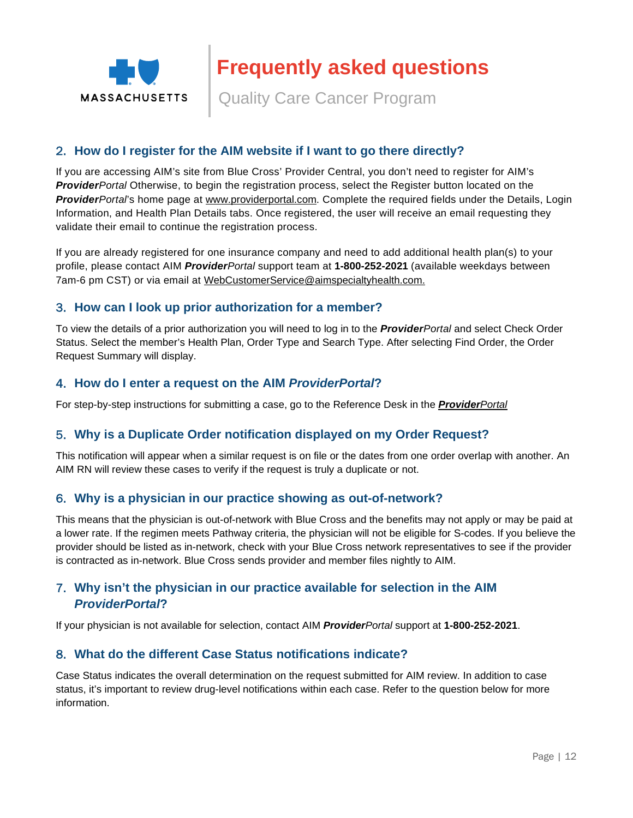![](_page_11_Picture_0.jpeg)

Quality Care Cancer Program

### 2. **How do I register for the AIM website if I want to go there directly?**

If you are accessing AIM's site from Blue Cross' Provider Central, you don't need to register for AIM's *ProviderPortal* Otherwise, to begin the registration process, select the Register button located on the *ProviderPortal*'s home page at [www.providerportal.com](http://www.providerportal.com/). Complete the required fields under the Details, Login Information, and Health Plan Details tabs. Once registered, the user will receive an email requesting they validate their email to continue the registration process.

If you are already registered for one insurance company and need to add additional health plan(s) to your profile, please contact AIM *ProviderPortal* support team at **1-800-252-2021** (available weekdays between 7am-6 pm CST) or via email at [WebCustomerService@aimspecialtyhealth.com.](mailto:WebCustomerService@aimspecialtyhealth.com)

### 3. **How can I look up prior authorization for a member?**

To view the details of a prior authorization you will need to log in to the *ProviderPortal* and select Check Order Status. Select the member's Health Plan, Order Type and Search Type. After selecting Find Order, the Order Request Summary will display.

#### 4. **How do I enter a request on the AIM** *ProviderPortal***?**

For step-by-step instructions for submitting a case, go to the Reference Desk in the *[Provider](http://www.providerportal.com/)Portal* 

#### 5. **Why is a Duplicate Order notification displayed on my Order Request?**

This notification will appear when a similar request is on file or the dates from one order overlap with another. An AIM RN will review these cases to verify if the request is truly a duplicate or not.

#### 6. **Why is a physician in our practice showing as out-of-network?**

This means that the physician is out-of-network with Blue Cross and the benefits may not apply or may be paid at a lower rate. If the regimen meets Pathway criteria, the physician will not be eligible for S-codes. If you believe the provider should be listed as in-network, check with your Blue Cross network representatives to see if the provider is contracted as in-network. Blue Cross sends provider and member files nightly to AIM.

### 7. **Why isn't the physician in our practice available for selection in the AIM**  *ProviderPortal***?**

If your physician is not available for selection, contact AIM *ProviderPortal* support at **1-800-252-2021**.

### 8. **What do the different Case Status notifications indicate?**

Case Status indicates the overall determination on the request submitted for AIM review. In addition to case status, it's important to review drug-level notifications within each case. Refer to the question below for more information.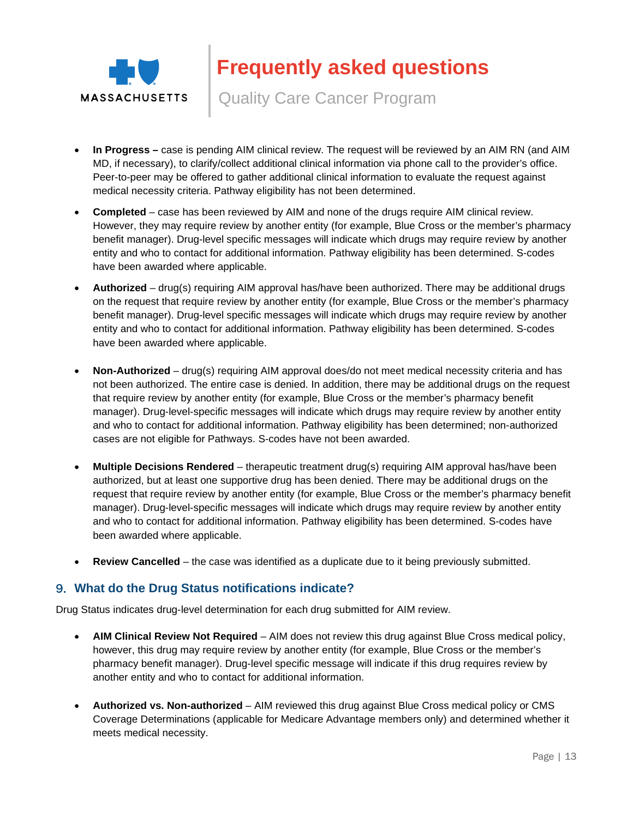![](_page_12_Picture_0.jpeg)

Quality Care Cancer Program

- **In Progress** case is pending AIM clinical review. The request will be reviewed by an AIM RN (and AIM MD, if necessary), to clarify/collect additional clinical information via phone call to the provider's office. Peer-to-peer may be offered to gather additional clinical information to evaluate the request against medical necessity criteria. Pathway eligibility has not been determined.
- **Completed** case has been reviewed by AIM and none of the drugs require AIM clinical review. However, they may require review by another entity (for example, Blue Cross or the member's pharmacy benefit manager). Drug-level specific messages will indicate which drugs may require review by another entity and who to contact for additional information. Pathway eligibility has been determined. S-codes have been awarded where applicable.
- **Authorized**  drug(s) requiring AIM approval has/have been authorized. There may be additional drugs on the request that require review by another entity (for example, Blue Cross or the member's pharmacy benefit manager). Drug-level specific messages will indicate which drugs may require review by another entity and who to contact for additional information. Pathway eligibility has been determined. S-codes have been awarded where applicable.
- **Non-Authorized** drug(s) requiring AIM approval does/do not meet medical necessity criteria and has not been authorized. The entire case is denied. In addition, there may be additional drugs on the request that require review by another entity (for example, Blue Cross or the member's pharmacy benefit manager). Drug-level-specific messages will indicate which drugs may require review by another entity and who to contact for additional information. Pathway eligibility has been determined; non-authorized cases are not eligible for Pathways. S-codes have not been awarded.
- **Multiple Decisions Rendered** therapeutic treatment drug(s) requiring AIM approval has/have been authorized, but at least one supportive drug has been denied. There may be additional drugs on the request that require review by another entity (for example, Blue Cross or the member's pharmacy benefit manager). Drug-level-specific messages will indicate which drugs may require review by another entity and who to contact for additional information. Pathway eligibility has been determined. S-codes have been awarded where applicable.
- **Review Cancelled**  the case was identified as a duplicate due to it being previously submitted.

## 9. **What do the Drug Status notifications indicate?**

Drug Status indicates drug-level determination for each drug submitted for AIM review.

- **AIM Clinical Review Not Required** AIM does not review this drug against Blue Cross medical policy, however, this drug may require review by another entity (for example, Blue Cross or the member's pharmacy benefit manager). Drug-level specific message will indicate if this drug requires review by another entity and who to contact for additional information.
- **Authorized vs. Non-authorized** AIM reviewed this drug against Blue Cross medical policy or CMS Coverage Determinations (applicable for Medicare Advantage members only) and determined whether it meets medical necessity.